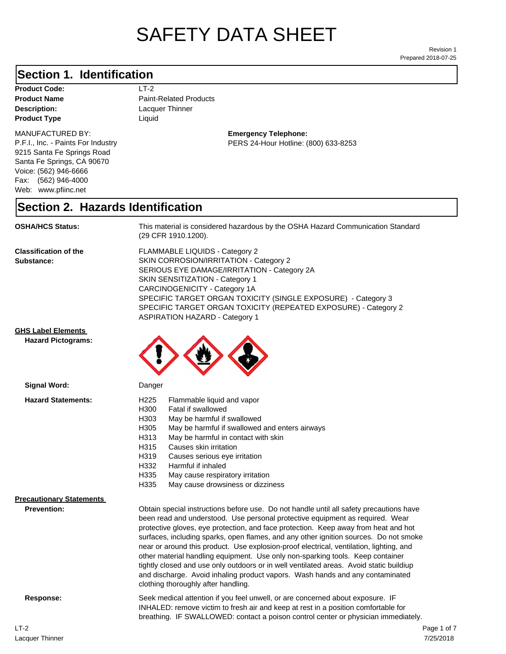# SAFETY DATA SHEET

Prepared 2018-07-25 Revision 1

#### **Section 1. Identification**

**Description:** Lacquer Thinner **Product Code:** LT-2 **Product Type Liquid Liquid** 

#### MANUFACTURED BY:

P.F.I., Inc. - Paints For Industry 9215 Santa Fe Springs Road Santa Fe Springs, CA 90670 Voice: (562) 946-6666 Fax: (562) 946-4000 Web: www.pfiinc.net

**Product Name** Paint-Related Products

#### **Emergency Telephone:** PERS 24-Hour Hotline: (800) 633-8253

#### **Section 2. Hazards Identification**

**OSHA/HCS Status:** This material is considered hazardous by the OSHA Hazard Communication Standard (29 CFR 1910.1200).

**Classification of the Substance:**

FLAMMABLE LIQUIDS - Category 2 SKIN CORROSION/IRRITATION - Category 2 SERIOUS EYE DAMAGE/IRRITATION - Category 2A SKIN SENSITIZATION - Category 1 CARCINOGENICITY - Category 1A SPECIFIC TARGET ORGAN TOXICITY (SINGLE EXPOSURE) - Category 3 SPECIFIC TARGET ORGAN TOXICITY (REPEATED EXPOSURE) - Category 2 ASPIRATION HAZARD - Category 1

#### **GHS Label Elements**

**Signal Word:**

**Hazard Pictograms:**



| <b>Hazard Statements:</b>                             | H <sub>225</sub><br>Flammable liquid and vapor<br>Fatal if swallowed<br>H300<br>May be harmful if swallowed<br>H303<br>May be harmful if swallowed and enters airways<br>H305<br>H313<br>May be harmful in contact with skin<br>Causes skin irritation<br>H315<br>H319<br>Causes serious eye irritation<br>Harmful if inhaled<br>H332<br>H335<br>May cause respiratory irritation<br>H335<br>May cause drowsiness or dizziness                                                                                                                                                                                                                                |
|-------------------------------------------------------|---------------------------------------------------------------------------------------------------------------------------------------------------------------------------------------------------------------------------------------------------------------------------------------------------------------------------------------------------------------------------------------------------------------------------------------------------------------------------------------------------------------------------------------------------------------------------------------------------------------------------------------------------------------|
| <b>Precautionary Statements</b><br><b>Prevention:</b> | Obtain special instructions before use. Do not handle until all safety precautions have                                                                                                                                                                                                                                                                                                                                                                                                                                                                                                                                                                       |
|                                                       | been read and understood. Use personal protective equipment as required. Wear<br>protective gloves, eye protection, and face protection. Keep away from heat and hot<br>surfaces, including sparks, open flames, and any other ignition sources. Do not smoke<br>near or around this product. Use explosion-proof electrical, ventilation, lighting, and<br>other material handling equipment. Use only non-sparking tools. Keep container<br>tightly closed and use only outdoors or in well ventilated areas. Avoid static buildiup<br>and discharge. Avoid inhaling product vapors. Wash hands and any contaminated<br>clothing thoroughly after handling. |
| Response:                                             | Seek medical attention if you feel unwell, or are concerned about exposure. IF<br>INHALED: remove victim to fresh air and keep at rest in a position comfortable for<br>breathing. IF SWALLOWED: contact a poison control center or physician immediately.                                                                                                                                                                                                                                                                                                                                                                                                    |
|                                                       |                                                                                                                                                                                                                                                                                                                                                                                                                                                                                                                                                                                                                                                               |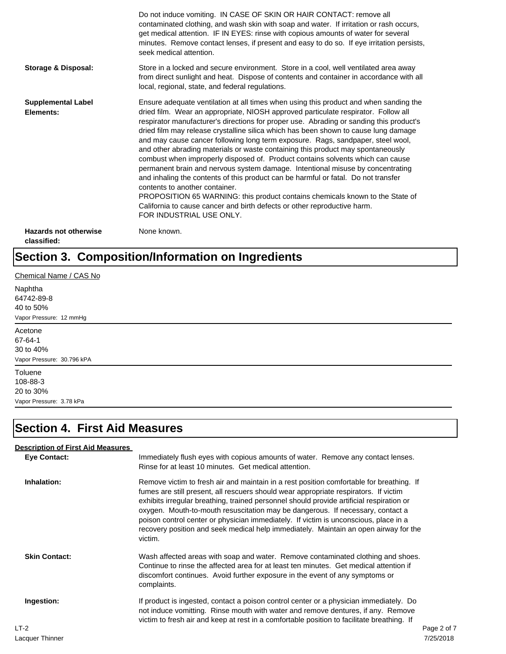|                                             | Do not induce vomiting. IN CASE OF SKIN OR HAIR CONTACT: remove all<br>contaminated clothing, and wash skin with soap and water. If irritation or rash occurs,<br>get medical attention. IF IN EYES: rinse with copious amounts of water for several<br>minutes. Remove contact lenses, if present and easy to do so. If eye irritation persists,<br>seek medical attention.                                                                                                                                                                                                                                                                                                                                                                                                                                                                                                                                                                                                                                             |
|---------------------------------------------|--------------------------------------------------------------------------------------------------------------------------------------------------------------------------------------------------------------------------------------------------------------------------------------------------------------------------------------------------------------------------------------------------------------------------------------------------------------------------------------------------------------------------------------------------------------------------------------------------------------------------------------------------------------------------------------------------------------------------------------------------------------------------------------------------------------------------------------------------------------------------------------------------------------------------------------------------------------------------------------------------------------------------|
| Storage & Disposal:                         | Store in a locked and secure environment. Store in a cool, well ventilated area away<br>from direct sunlight and heat. Dispose of contents and container in accordance with all<br>local, regional, state, and federal regulations.                                                                                                                                                                                                                                                                                                                                                                                                                                                                                                                                                                                                                                                                                                                                                                                      |
| <b>Supplemental Label</b><br>Elements:      | Ensure adequate ventilation at all times when using this product and when sanding the<br>dried film. Wear an appropriate, NIOSH approved particulate respirator. Follow all<br>respirator manufacturer's directions for proper use. Abrading or sanding this product's<br>dried film may release crystalline silica which has been shown to cause lung damage<br>and may cause cancer following long term exposure. Rags, sandpaper, steel wool,<br>and other abrading materials or waste containing this product may spontaneously<br>combust when improperly disposed of. Product contains solvents which can cause<br>permanent brain and nervous system damage. Intentional misuse by concentrating<br>and inhaling the contents of this product can be harmful or fatal. Do not transfer<br>contents to another container.<br>PROPOSITION 65 WARNING: this product contains chemicals known to the State of<br>California to cause cancer and birth defects or other reproductive harm.<br>FOR INDUSTRIAL USE ONLY. |
| <b>Hazards not otherwise</b><br>classified: | None known.                                                                                                                                                                                                                                                                                                                                                                                                                                                                                                                                                                                                                                                                                                                                                                                                                                                                                                                                                                                                              |

#### **Section 3. Composition/Information on Ingredients**

Chemical Name / CAS No Naphtha 64742-89-8 40 to 50% Vapor Pressure: 12 mmHg Acetone 67-64-1 30 to 40% Vapor Pressure: 30.796 kPA **Toluene** 108-88-3 20 to 30% Vapor Pressure: 3.78 kPa

#### **Section 4. First Aid Measures**

#### **Eye Contact:** Immediately flush eyes with copious amounts of water. Remove any contact lenses. Rinse for at least 10 minutes. Get medical attention. **Inhalation:** Remove victim to fresh air and maintain in a rest position comfortable for breathing. If fumes are still present, all rescuers should wear appropriate respirators. If victim exhibits irregular breathing, trained personnel should provide artificial respiration or oxygen. Mouth-to-mouth resuscitation may be dangerous. If necessary, contact a poison control center or physician immediately. If victim is unconscious, place in a recovery position and seek medical help immediately. Maintain an open airway for the victim. **Skin Contact:** Wash affected areas with soap and water. Remove contaminated clothing and shoes. Continue to rinse the affected area for at least ten minutes. Get medical attention if discomfort continues. Avoid further exposure in the event of any symptoms or complaints. **Ingestion:** If product is ingested, contact a poison control center or a physician immediately. Do not induce vomitting. Rinse mouth with water and remove dentures, if any. Remove victim to fresh air and keep at rest in a comfortable position to facilitate breathing. If **Description of First Aid Measures** LT-2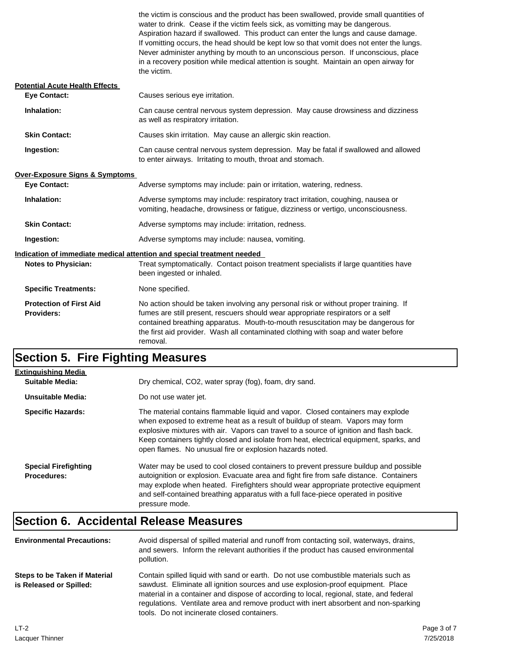|                                                     | the victim is conscious and the product has been swallowed, provide small quantities of<br>water to drink. Cease if the victim feels sick, as vomitting may be dangerous.<br>Aspiration hazard if swallowed. This product can enter the lungs and cause damage.<br>If vomitting occurs, the head should be kept low so that vomit does not enter the lungs.<br>Never administer anything by mouth to an unconscious person. If unconscious, place<br>in a recovery position while medical attention is sought. Maintain an open airway for<br>the victim. |
|-----------------------------------------------------|-----------------------------------------------------------------------------------------------------------------------------------------------------------------------------------------------------------------------------------------------------------------------------------------------------------------------------------------------------------------------------------------------------------------------------------------------------------------------------------------------------------------------------------------------------------|
| <b>Potential Acute Health Effects</b>               |                                                                                                                                                                                                                                                                                                                                                                                                                                                                                                                                                           |
| <b>Eye Contact:</b>                                 | Causes serious eye irritation.                                                                                                                                                                                                                                                                                                                                                                                                                                                                                                                            |
| Inhalation:                                         | Can cause central nervous system depression. May cause drowsiness and dizziness<br>as well as respiratory irritation.                                                                                                                                                                                                                                                                                                                                                                                                                                     |
| <b>Skin Contact:</b>                                | Causes skin irritation. May cause an allergic skin reaction.                                                                                                                                                                                                                                                                                                                                                                                                                                                                                              |
| Ingestion:                                          | Can cause central nervous system depression. May be fatal if swallowed and allowed<br>to enter airways. Irritating to mouth, throat and stomach.                                                                                                                                                                                                                                                                                                                                                                                                          |
| <b>Over-Exposure Signs &amp; Symptoms</b>           |                                                                                                                                                                                                                                                                                                                                                                                                                                                                                                                                                           |
| <b>Eye Contact:</b>                                 | Adverse symptoms may include: pain or irritation, watering, redness.                                                                                                                                                                                                                                                                                                                                                                                                                                                                                      |
| Inhalation:                                         | Adverse symptoms may include: respiratory tract irritation, coughing, nausea or<br>vomiting, headache, drowsiness or fatigue, dizziness or vertigo, unconsciousness.                                                                                                                                                                                                                                                                                                                                                                                      |
| <b>Skin Contact:</b>                                | Adverse symptoms may include: irritation, redness.                                                                                                                                                                                                                                                                                                                                                                                                                                                                                                        |
| Ingestion:                                          | Adverse symptoms may include: nausea, vomiting.                                                                                                                                                                                                                                                                                                                                                                                                                                                                                                           |
|                                                     | Indication of immediate medical attention and special treatment needed                                                                                                                                                                                                                                                                                                                                                                                                                                                                                    |
| <b>Notes to Physician:</b>                          | Treat symptomatically. Contact poison treatment specialists if large quantities have<br>been ingested or inhaled.                                                                                                                                                                                                                                                                                                                                                                                                                                         |
| <b>Specific Treatments:</b>                         | None specified.                                                                                                                                                                                                                                                                                                                                                                                                                                                                                                                                           |
| <b>Protection of First Aid</b><br><b>Providers:</b> | No action should be taken involving any personal risk or without proper training. If<br>fumes are still present, rescuers should wear appropriate respirators or a self<br>contained breathing apparatus. Mouth-to-mouth resuscitation may be dangerous for<br>the first aid provider. Wash all contaminated clothing with soap and water before<br>removal.                                                                                                                                                                                              |

## **Section 5. Fire Fighting Measures**

| <b>Extinguishing Media</b>                        |                                                                                                                                                                                                                                                                                                                                                                                                                   |
|---------------------------------------------------|-------------------------------------------------------------------------------------------------------------------------------------------------------------------------------------------------------------------------------------------------------------------------------------------------------------------------------------------------------------------------------------------------------------------|
| Suitable Media:                                   | Dry chemical, CO2, water spray (fog), foam, dry sand.                                                                                                                                                                                                                                                                                                                                                             |
| Unsuitable Media:                                 | Do not use water jet.                                                                                                                                                                                                                                                                                                                                                                                             |
| <b>Specific Hazards:</b>                          | The material contains flammable liquid and vapor. Closed containers may explode<br>when exposed to extreme heat as a result of buildup of steam. Vapors may form<br>explosive mixtures with air. Vapors can travel to a source of ignition and flash back.<br>Keep containers tightly closed and isolate from heat, electrical equipment, sparks, and<br>open flames. No unusual fire or explosion hazards noted. |
| <b>Special Firefighting</b><br><b>Procedures:</b> | Water may be used to cool closed containers to prevent pressure buildup and possible<br>autoignition or explosion. Evacuate area and fight fire from safe distance. Containers<br>may explode when heated. Firefighters should wear appropriate protective equipment<br>and self-contained breathing apparatus with a full face-piece operated in positive<br>pressure mode.                                      |

## **Section 6. Accidental Release Measures**

| <b>Environmental Precautions:</b>                        | Avoid dispersal of spilled material and runoff from contacting soil, waterways, drains,<br>and sewers. Inform the relevant authorities if the product has caused environmental<br>pollution.                                                                                                                                                                                                              |
|----------------------------------------------------------|-----------------------------------------------------------------------------------------------------------------------------------------------------------------------------------------------------------------------------------------------------------------------------------------------------------------------------------------------------------------------------------------------------------|
| Steps to be Taken if Material<br>is Released or Spilled: | Contain spilled liquid with sand or earth. Do not use combustible materials such as<br>sawdust. Eliminate all ignition sources and use explosion-proof equipment. Place<br>material in a container and dispose of according to local, regional, state, and federal<br>requiations. Ventilate area and remove product with inert absorbent and non-sparking<br>tools. Do not incinerate closed containers. |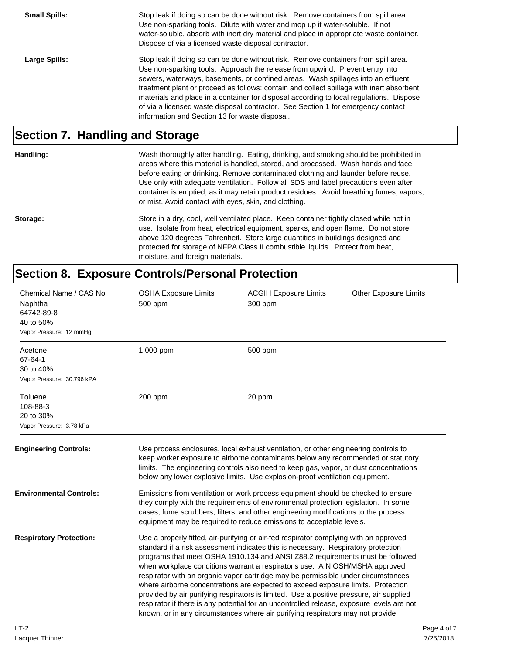| <b>Small Spills:</b> | Stop leak if doing so can be done without risk. Remove containers from spill area.<br>Use non-sparking tools. Dilute with water and mop up if water-soluble. If not<br>water-soluble, absorb with inert dry material and place in appropriate waste container.<br>Dispose of via a licensed waste disposal contractor.                                                                                                                                                                                                                                                              |
|----------------------|-------------------------------------------------------------------------------------------------------------------------------------------------------------------------------------------------------------------------------------------------------------------------------------------------------------------------------------------------------------------------------------------------------------------------------------------------------------------------------------------------------------------------------------------------------------------------------------|
| <b>Large Spills:</b> | Stop leak if doing so can be done without risk. Remove containers from spill area.<br>Use non-sparking tools. Approach the release from upwind. Prevent entry into<br>sewers, waterways, basements, or confined areas. Wash spillages into an effluent<br>treatment plant or proceed as follows: contain and collect spillage with inert absorbent<br>materials and place in a container for disposal according to local regulations. Dispose<br>of via a licensed waste disposal contractor. See Section 1 for emergency contact<br>information and Section 13 for waste disposal. |

#### **Section 7. Handling and Storage**

**Handling:** Wash thoroughly after handling. Eating, drinking, and smoking should be prohibited in areas where this material is handled, stored, and processed. Wash hands and face before eating or drinking. Remove contaminated clothing and launder before reuse. Use only with adequate ventilation. Follow all SDS and label precautions even after container is emptied, as it may retain product residues. Avoid breathing fumes, vapors, or mist. Avoid contact with eyes, skin, and clothing.

Storage: Store in a dry, cool, well ventilated place. Keep container tightly closed while not in use. Isolate from heat, electrical equipment, sparks, and open flame. Do not store above 120 degrees Fahrenheit. Store large quantities in buildings designed and protected for storage of NFPA Class II combustible liquids. Protect from heat, moisture, and foreign materials.

## **Section 8. Exposure Controls/Personal Protection**

| Chemical Name / CAS No<br>Naphtha<br>64742-89-8<br>40 to 50%<br>Vapor Pressure: 12 mmHg | <b>OSHA Exposure Limits</b><br>500 ppm | <b>ACGIH Exposure Limits</b><br>300 ppm                                                                                                                                                                                                                                                                                                                                                                                                                                                                                                                                                                                                                                                                                                                                                       | <b>Other Exposure Limits</b> |             |
|-----------------------------------------------------------------------------------------|----------------------------------------|-----------------------------------------------------------------------------------------------------------------------------------------------------------------------------------------------------------------------------------------------------------------------------------------------------------------------------------------------------------------------------------------------------------------------------------------------------------------------------------------------------------------------------------------------------------------------------------------------------------------------------------------------------------------------------------------------------------------------------------------------------------------------------------------------|------------------------------|-------------|
| Acetone<br>67-64-1<br>30 to 40%<br>Vapor Pressure: 30.796 kPA                           | 1,000 ppm                              | 500 ppm                                                                                                                                                                                                                                                                                                                                                                                                                                                                                                                                                                                                                                                                                                                                                                                       |                              |             |
| Toluene<br>108-88-3<br>20 to 30%<br>Vapor Pressure: 3.78 kPa                            | 200 ppm                                | 20 ppm                                                                                                                                                                                                                                                                                                                                                                                                                                                                                                                                                                                                                                                                                                                                                                                        |                              |             |
| <b>Engineering Controls:</b>                                                            |                                        | Use process enclosures, local exhaust ventilation, or other engineering controls to<br>keep worker exposure to airborne contaminants below any recommended or statutory<br>limits. The engineering controls also need to keep gas, vapor, or dust concentrations<br>below any lower explosive limits. Use explosion-proof ventilation equipment.                                                                                                                                                                                                                                                                                                                                                                                                                                              |                              |             |
| <b>Environmental Controls:</b>                                                          |                                        | Emissions from ventilation or work process equipment should be checked to ensure<br>they comply with the requirements of environmental protection legislation. In some<br>cases, fume scrubbers, filters, and other engineering modifications to the process<br>equipment may be required to reduce emissions to acceptable levels.                                                                                                                                                                                                                                                                                                                                                                                                                                                           |                              |             |
| <b>Respiratory Protection:</b>                                                          |                                        | Use a properly fitted, air-purifying or air-fed respirator complying with an approved<br>standard if a risk assessment indicates this is necessary. Respiratory protection<br>programs that meet OSHA 1910.134 and ANSI Z88.2 requirements must be followed<br>when workplace conditions warrant a respirator's use. A NIOSH/MSHA approved<br>respirator with an organic vapor cartridge may be permissible under circumstances<br>where airborne concentrations are expected to exceed exposure limits. Protection<br>provided by air purifying respirators is limited. Use a positive pressure, air supplied<br>respirator if there is any potential for an uncontrolled release, exposure levels are not<br>known, or in any circumstances where air purifying respirators may not provide |                              |             |
| $LT-2$                                                                                  |                                        |                                                                                                                                                                                                                                                                                                                                                                                                                                                                                                                                                                                                                                                                                                                                                                                               |                              | Page 4 of 7 |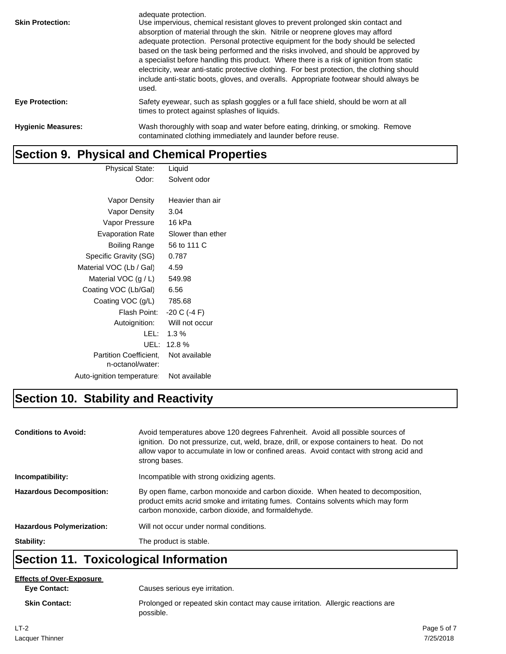| <b>Skin Protection:</b>   | adequate protection.<br>Use impervious, chemical resistant gloves to prevent prolonged skin contact and<br>absorption of material through the skin. Nitrile or neoprene gloves may afford<br>adequate protection. Personal protective equipment for the body should be selected<br>based on the task being performed and the risks involved, and should be approved by<br>a specialist before handling this product. Where there is a risk of ignition from static<br>electricity, wear anti-static protective clothing. For best protection, the clothing should<br>include anti-static boots, gloves, and overalls. Appropriate footwear should always be<br>used. |
|---------------------------|----------------------------------------------------------------------------------------------------------------------------------------------------------------------------------------------------------------------------------------------------------------------------------------------------------------------------------------------------------------------------------------------------------------------------------------------------------------------------------------------------------------------------------------------------------------------------------------------------------------------------------------------------------------------|
| <b>Eye Protection:</b>    | Safety eyewear, such as splash goggles or a full face shield, should be worn at all<br>times to protect against splashes of liquids.                                                                                                                                                                                                                                                                                                                                                                                                                                                                                                                                 |
| <b>Hygienic Measures:</b> | Wash thoroughly with soap and water before eating, drinking, or smoking. Remove<br>contaminated clothing immediately and launder before reuse.                                                                                                                                                                                                                                                                                                                                                                                                                                                                                                                       |

## **Section 9. Physical and Chemical Properties**

| Physical State:                                   | Liquid            |
|---------------------------------------------------|-------------------|
| Odor:                                             | Solvent odor      |
|                                                   |                   |
| Vapor Density                                     | Heavier than air  |
| Vapor Density                                     | 3.04              |
| Vapor Pressure                                    | 16 kPa            |
| <b>Evaporation Rate</b>                           | Slower than ether |
| Boiling Range                                     | 56 to 111 C       |
| Specific Gravity (SG)                             | 0.787             |
| Material VOC (Lb / Gal)                           | 4.59              |
| Material VOC $(g/L)$                              | 549.98            |
| Coating VOC (Lb/Gal)                              | 6.56              |
| Coating VOC (g/L)                                 | 785.68            |
| Flash Point:                                      | $-20 C (-4 F)$    |
| Autoignition:                                     | Will not occur    |
| LEL:                                              | $1.3\%$           |
| UEL:                                              | 12.8%             |
| <b>Partition Coefficient.</b><br>n-octanol/water: | Not available     |
| Auto-ignition temperature                         | Not available     |
|                                                   |                   |

## **Section 10. Stability and Reactivity**

| <b>Conditions to Avoid:</b>      | Avoid temperatures above 120 degrees Fahrenheit. Avoid all possible sources of<br>ignition. Do not pressurize, cut, weld, braze, drill, or expose containers to heat. Do not<br>allow vapor to accumulate in low or confined areas. Avoid contact with strong acid and<br>strong bases. |
|----------------------------------|-----------------------------------------------------------------------------------------------------------------------------------------------------------------------------------------------------------------------------------------------------------------------------------------|
| Incompatibility:                 | Incompatible with strong oxidizing agents.                                                                                                                                                                                                                                              |
| <b>Hazardous Decomposition:</b>  | By open flame, carbon monoxide and carbon dioxide. When heated to decomposition,<br>product emits acrid smoke and irritating fumes. Contains solvents which may form<br>carbon monoxide, carbon dioxide, and formaldehyde.                                                              |
| <b>Hazardous Polymerization:</b> | Will not occur under normal conditions.                                                                                                                                                                                                                                                 |
| Stability:                       | The product is stable.                                                                                                                                                                                                                                                                  |

## **Section 11. Toxicological Information**

#### **Effects of Over-Exposure**

**Eye Contact:**

possible.

**Skin Contact:** Prolonged or repeated skin contact may cause irritation. Allergic reactions are Causes serious eye irritation.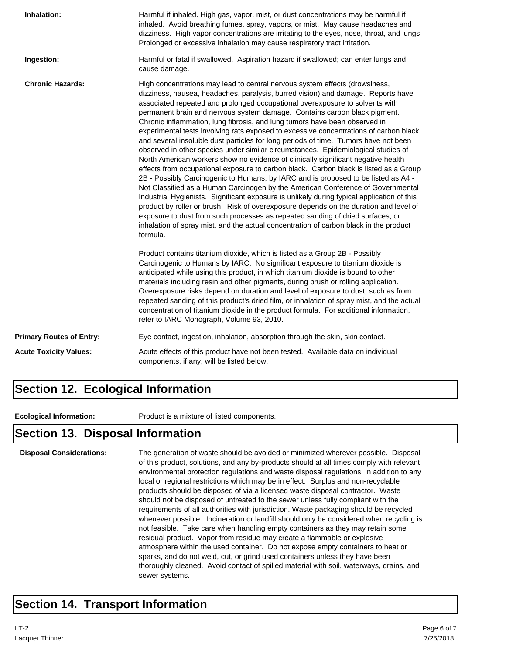| Inhalation:                     | Harmful if inhaled. High gas, vapor, mist, or dust concentrations may be harmful if<br>inhaled. Avoid breathing fumes, spray, vapors, or mist. May cause headaches and<br>dizziness. High vapor concentrations are irritating to the eyes, nose, throat, and lungs.<br>Prolonged or excessive inhalation may cause respiratory tract irritation.                                                                                                                                                                                                                                                                                                                                                                                                                                                                                                                                                                                                                                                                                                                                                                                                                                                                                                                                                                                                                                                                     |
|---------------------------------|----------------------------------------------------------------------------------------------------------------------------------------------------------------------------------------------------------------------------------------------------------------------------------------------------------------------------------------------------------------------------------------------------------------------------------------------------------------------------------------------------------------------------------------------------------------------------------------------------------------------------------------------------------------------------------------------------------------------------------------------------------------------------------------------------------------------------------------------------------------------------------------------------------------------------------------------------------------------------------------------------------------------------------------------------------------------------------------------------------------------------------------------------------------------------------------------------------------------------------------------------------------------------------------------------------------------------------------------------------------------------------------------------------------------|
| Ingestion:                      | Harmful or fatal if swallowed. Aspiration hazard if swallowed; can enter lungs and<br>cause damage.                                                                                                                                                                                                                                                                                                                                                                                                                                                                                                                                                                                                                                                                                                                                                                                                                                                                                                                                                                                                                                                                                                                                                                                                                                                                                                                  |
| <b>Chronic Hazards:</b>         | High concentrations may lead to central nervous system effects (drowsiness,<br>dizziness, nausea, headaches, paralysis, burred vision) and damage. Reports have<br>associated repeated and prolonged occupational overexposure to solvents with<br>permanent brain and nervous system damage. Contains carbon black pigment.<br>Chronic inflammation, lung fibrosis, and lung tumors have been observed in<br>experimental tests involving rats exposed to excessive concentrations of carbon black<br>and several insoluble dust particles for long periods of time. Tumors have not been<br>observed in other species under similar circumstances. Epidemiological studies of<br>North American workers show no evidence of clinically significant negative health<br>effects from occupational exposure to carbon black. Carbon black is listed as a Group<br>2B - Possibly Carcinogenic to Humans, by IARC and is proposed to be listed as A4 -<br>Not Classified as a Human Carcinogen by the American Conference of Governmental<br>Industrial Hygienists. Significant exposure is unlikely during typical application of this<br>product by roller or brush. Risk of overexposure depends on the duration and level of<br>exposure to dust from such processes as repeated sanding of dried surfaces, or<br>inhalation of spray mist, and the actual concentration of carbon black in the product<br>formula. |
|                                 | Product contains titanium dioxide, which is listed as a Group 2B - Possibly<br>Carcinogenic to Humans by IARC. No significant exposure to titanium dioxide is<br>anticipated while using this product, in which titanium dioxide is bound to other<br>materials including resin and other pigments, during brush or rolling application.<br>Overexposure risks depend on duration and level of exposure to dust, such as from<br>repeated sanding of this product's dried film, or inhalation of spray mist, and the actual<br>concentration of titanium dioxide in the product formula. For additional information,<br>refer to IARC Monograph, Volume 93, 2010.                                                                                                                                                                                                                                                                                                                                                                                                                                                                                                                                                                                                                                                                                                                                                    |
| <b>Primary Routes of Entry:</b> | Eye contact, ingestion, inhalation, absorption through the skin, skin contact.                                                                                                                                                                                                                                                                                                                                                                                                                                                                                                                                                                                                                                                                                                                                                                                                                                                                                                                                                                                                                                                                                                                                                                                                                                                                                                                                       |
| <b>Acute Toxicity Values:</b>   | Acute effects of this product have not been tested. Available data on individual<br>components, if any, will be listed below.                                                                                                                                                                                                                                                                                                                                                                                                                                                                                                                                                                                                                                                                                                                                                                                                                                                                                                                                                                                                                                                                                                                                                                                                                                                                                        |

#### **Section 12. Ecological Information**

**Ecological Information:** Product is a mixture of listed components.

#### **Section 13. Disposal Information**

**Disposal Considerations:** The generation of waste should be avoided or minimized wherever possible. Disposal of this product, solutions, and any by-products should at all times comply with relevant environmental protection regulations and waste disposal regulations, in addition to any local or regional restrictions which may be in effect. Surplus and non-recyclable products should be disposed of via a licensed waste disposal contractor. Waste should not be disposed of untreated to the sewer unless fully compliant with the requirements of all authorities with jurisdiction. Waste packaging should be recycled whenever possible. Incineration or landfill should only be considered when recycling is not feasible. Take care when handling empty containers as they may retain some residual product. Vapor from residue may create a flammable or explosive atmosphere within the used container. Do not expose empty containers to heat or sparks, and do not weld, cut, or grind used containers unless they have been thoroughly cleaned. Avoid contact of spilled material with soil, waterways, drains, and sewer systems.

### **Section 14. Transport Information**